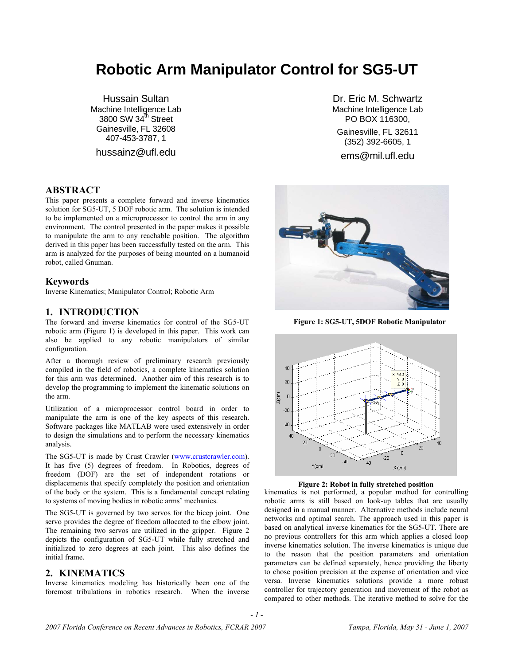# **Robotic Arm Manipulator Control for SG5-UT**

Hussain Sultan Machine Intelligence Lab 3800 SW 34 $^{\text{th}}$  Street Gainesville, FL 32608 407-453-3787, 1

hussainz@ufl.edu

## **ABSTRACT**

This paper presents a complete forward and inverse kinematics solution for SG5-UT, 5 DOF robotic arm. The solution is intended to be implemented on a microprocessor to control the arm in any environment. The control presented in the paper makes it possible to manipulate the arm to any reachable position. The algorithm derived in this paper has been successfully tested on the arm. This arm is analyzed for the purposes of being mounted on a humanoid robot, called Gnuman.

### **Keywords**

Inverse Kinematics; Manipulator Control; Robotic Arm

## **1. INTRODUCTION**

The forward and inverse kinematics for control of the SG5-UT robotic arm (Figure 1) is developed in this paper. This work can also be applied to any robotic manipulators of similar configuration.

After a thorough review of preliminary research previously compiled in the field of robotics, a complete kinematics solution for this arm was determined. Another aim of this research is to develop the programming to implement the kinematic solutions on the arm.

Utilization of a microprocessor control board in order to manipulate the arm is one of the key aspects of this research. Software packages like MATLAB were used extensively in order to design the simulations and to perform the necessary kinematics analysis.

The SG5-UT is made by Crust Crawler (www.crustcrawler.com). It has five (5) degrees of freedom. In Robotics, degrees of freedom (DOF) are the set of independent rotations or displacements that specify completely the position and orientation of the body or the system. This is a fundamental concept relating to systems of moving bodies in robotic arms' mechanics.

The SG5-UT is governed by two servos for the bicep joint. One servo provides the degree of freedom allocated to the elbow joint. The remaining two servos are utilized in the gripper. Figure 2 depicts the configuration of SG5-UT while fully stretched and initialized to zero degrees at each joint. This also defines the initial frame.

## **2. KINEMATICS**

Inverse kinematics modeling has historically been one of the foremost tribulations in robotics research. When the inverse

Dr. Eric M. Schwartz Machine Intelligence Lab PO BOX 116300,

Gainesville, FL 32611 (352) 392-6605, 1

ems@mil.ufl.edu



**Figure 1: SG5-UT, 5DOF Robotic Manipulator**





kinematics is not performed, a popular method for controlling robotic arms is still based on look-up tables that are usually designed in a manual manner. Alternative methods include neural networks and optimal search. The approach used in this paper is based on analytical inverse kinematics for the SG5-UT. There are no previous controllers for this arm which applies a closed loop inverse kinematics solution. The inverse kinematics is unique due to the reason that the position parameters and orientation parameters can be defined separately, hence providing the liberty to chose position precision at the expense of orientation and vice versa. Inverse kinematics solutions provide a more robust controller for trajectory generation and movement of the robot as compared to other methods. The iterative method to solve for the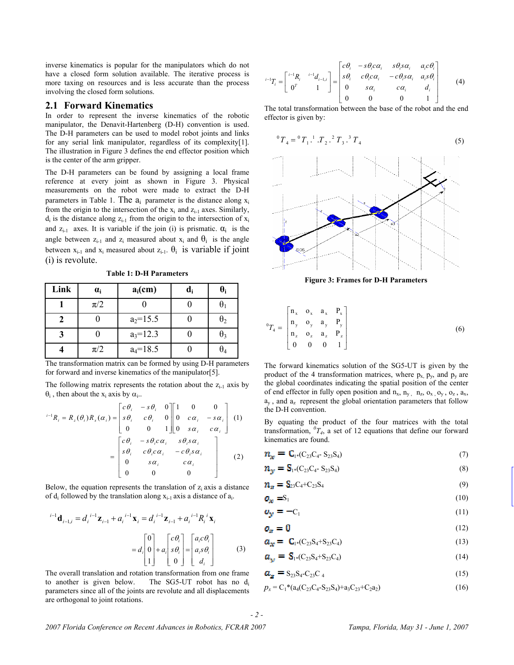inverse kinematics is popular for the manipulators which do not have a closed form solution available. The iterative process is more taxing on resources and is less accurate than the process involving the closed form solutions.

## **2.1 Forward Kinematics**

In order to represent the inverse kinematics of the robotic manipulator, the Denavit-Hartenberg (D-H) convention is used. The D-H parameters can be used to model robot joints and links for any serial link manipulator, regardless of its complexity[1]. The illustration in Figure 3 defines the end effector position which is the center of the arm gripper.

The D-H parameters can be found by assigning a local frame reference at every joint as shown in Figure 3. Physical measurements on the robot were made to extract the D-H parameters in Table 1. The  $a_i$  parameter is the distance along  $x_i$ from the origin to the intersection of the  $x_i$  and  $z_{i-1}$  axes. Similarly,  $d_i$  is the distance along  $z_{i-1}$  from the origin to the intersection of  $x_i$ and  $z_{i-1}$  axes. It is variable if the join (i) is prismatic.  $\alpha_i$  is the angle between  $z_{i-1}$  and  $z_i$  measured about  $x_i$  and  $\theta_i$  is the angle between  $x_{i-1}$  and  $x_i$  measured about  $z_{i-1}$ .  $\theta_i$  is variable if joint (i) is revolute.

**Table 1: D-H Parameters** 

| Link | $\alpha_i$ | $a_i$ (cm)   | $\mathbf{d_i}$ | O,         |
|------|------------|--------------|----------------|------------|
|      | $\pi/2$    |              |                |            |
|      |            | $a_2=15.5$   |                | $\theta_2$ |
|      |            | $a_3=12.3$   |                | θ3         |
|      | $\pi/2$    | $a_4 = 18.5$ |                |            |

The transformation matrix can be formed by using D-H parameters for forward and inverse kinematics of the manipulator[5].

The following matrix represents the rotation about the  $z_{i-1}$  axis by  $\theta_i$ , then about the x<sub>i</sub> axis by  $\alpha_i$ ..

$$
{}^{i-1}R_i = R_z(\theta_i)R_x(\alpha_i) = \begin{bmatrix} c\theta_i & -s\theta_i & 0 \\ s\theta_i & c\theta_i & 0 \\ 0 & 0 & 1 \end{bmatrix} \begin{bmatrix} 1 & 0 & 0 \\ 0 & c\alpha_i & -s\alpha_i \\ 0 & s\alpha_i & c\alpha_i \end{bmatrix}
$$
 (1)  

$$
= \begin{bmatrix} c\theta_i & -s\theta_i c\alpha_i & s\theta_i s\alpha_i \\ s\theta_i & c\theta_i c\alpha_i & -c\theta_i s\alpha_i \\ 0 & s\alpha_i & c\alpha_i \\ 0 & 0 & 0 \end{bmatrix}
$$
 (2)

Below, the equation represents the translation of  $z_i$  axis a distance of  $d_i$  followed by the translation along  $x_{i-1}$  axis a distance of  $a_i$ .

$$
{}^{i-1} \mathbf{d}_{i-1,i} = d_i{}^{i-1} \mathbf{z}_{i-1} + a_i{}^{i-1} \mathbf{x}_i = d_i{}^{i-1} \mathbf{z}_{i-1} + a_i{}^{i-1} R_i{}^i \mathbf{x}_i
$$
  
=  $d_i \begin{bmatrix} 0 \\ 0 \\ 1 \end{bmatrix} + a_i \begin{bmatrix} c\theta_i \\ s\theta_i \\ 0 \end{bmatrix} = \begin{bmatrix} a_i c\theta_i \\ a_i s\theta_i \\ d_i \end{bmatrix}$  (3)

The overall translation and rotation transformation from one frame to another is given below. The SG5-UT robot has no d<sub>i</sub> parameters since all of the joints are revolute and all displacements are orthogonal to joint rotations.

$$
{}^{i-1}T_i = \begin{bmatrix} {}^{i-1}R_i & {}^{i-1}d_{i-1,i} \\ 0^T & 1 \end{bmatrix} = \begin{bmatrix} c\theta_i & -s\theta_i c\alpha_i & s\theta_i s\alpha_i & a_i c\theta_i \\ s\theta_i & c\theta_i c\alpha_i & -c\theta_i s\alpha_i & a_i s\theta_i \\ 0 & s\alpha_i & c\alpha_i & d_i \\ 0 & 0 & 0 & 1 \end{bmatrix}
$$
 (4)

The total transformation between the base of the robot and the end effector is given by:

$$
{}^{0}T_{4} = {}^{0}T_{1} {}^{1}T_{2} {}^{2}T_{3} {}^{3}T_{4}
$$
 (5)



**Figure 3: Frames for D-H Parameters**

$$
{}^{0}T_{4} = \begin{bmatrix} n_{x} & 0_{x} & a_{x} & P_{x} \\ n_{y} & 0_{y} & a_{y} & P_{y} \\ n_{z} & 0_{z} & a_{z} & P_{z} \\ 0 & 0 & 0 & 1 \end{bmatrix}
$$
 (6)

The forward kinematics solution of the SG5-UT is given by the product of the 4 transformation matrices, where  $p_x$ ,  $p_y$ , and  $p_y$  are the global coordinates indicating the spatial position of the center of end effector in fully open position and  $n_x$ ,  $n_y$ ,  $n_z$ ,  $o_x$ ,  $o_y$ ,  $o_z$ ,  $a_x$ ,  $a_{v}$ , and  $a_{z}$  represent the global orientation parameters that follow the D-H convention.

By equating the product of the four matrices with the total transformation,  ${}^0T_4$ , a set of 12 equations that define our forward kinematics are found.

$$
n_x = C_{1^*}(C_{23}C_4 - S_{23}S_4)
$$
 (7)

$$
n_{y} = S_{1} \cdot (C_{23} C_{4} - S_{23} S_{4}) \tag{8}
$$

$$
\mathbf{n}_{\mathbf{z}} = \mathbf{S}_{23} C_4 + C_{23} S_4 \tag{9}
$$

$$
\mathbf{O}_{\mathcal{X}} = \mathbf{S}_1 \tag{10}
$$

$$
\mathbf{v}_{\mathbf{y}} = -\mathbf{C}_1 \tag{11}
$$

$$
\mathbf{o}_z = \mathbf{0} \tag{12}
$$

$$
a_x = C_{1^*}(C_{23}S_4 + S_{23}C_4)
$$
\n(13)

$$
a_y = S_{1*}(C_{23}S_4 + S_{23}C_4)
$$
\n(14)

$$
\mathbf{a}_{\mathbf{z}} = \mathbf{S}_{23}\mathbf{S}_{4}\mathbf{-C}_{23}\mathbf{C}_{4} \tag{15}
$$

$$
p_x = C_1 * (a_4(C_{23}C_4 - S_{23}S_4) + a_3C_{23} + C_2a_2)
$$
\n(16)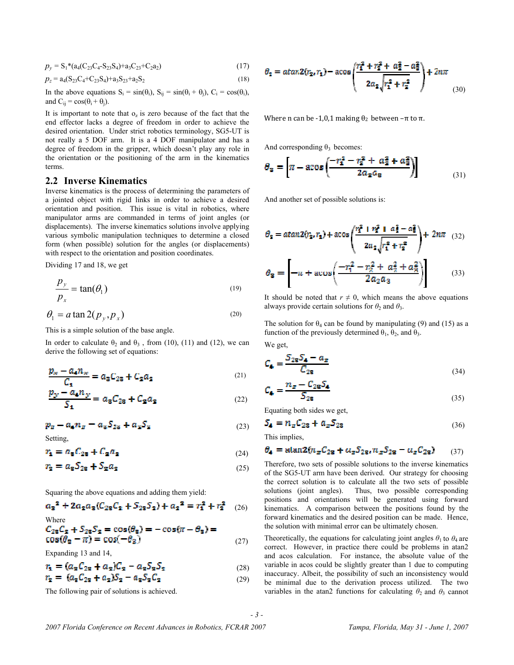$$
p_y = S_1 * (a_4(C_{23}C_4 - S_{23}S_4) + a_3C_{23} + C_2a_2)
$$
\n(17)

$$
p_z = a_4(S_{23}C_4 + C_{23}S_4) + a_3S_{23} + a_2S_2
$$
\n(18)

In the above equations  $S_i = sin(\theta_i)$ ,  $S_{ij} = sin(\theta_i + \theta_j)$ ,  $C_i = cos(\theta_i)$ , and  $C_{ij} = \cos(\theta_i + \theta_j)$ .

It is important to note that  $o_z$  is zero because of the fact that the end effector lacks a degree of freedom in order to achieve the desired orientation. Under strict robotics terminology, SG5-UT is not really a 5 DOF arm. It is a 4 DOF manipulator and has a degree of freedom in the gripper, which doesn't play any role in the orientation or the positioning of the arm in the kinematics terms.

#### **2.2 Inverse Kinematics**

Inverse kinematics is the process of determining the parameters of a jointed object with rigid links in order to achieve a desired orientation and position. This issue is vital in robotics, where manipulator arms are commanded in terms of joint angles (or displacements). The inverse kinematics solutions involve applying various symbolic manipulation techniques to determine a closed form (when possible) solution for the angles (or displacements) with respect to the orientation and position coordinates.

Dividing 17 and 18, we get

$$
\frac{p_y}{p_x} = \tan(\theta_1) \tag{19}
$$

$$
\theta_1 = a \tan 2(p_y, p_x) \tag{20}
$$

This is a simple solution of the base angle.

In order to calculate  $\theta_2$  and  $\theta_3$ , from (10), (11) and (12), we can derive the following set of equations:

$$
\frac{p_{\infty} - a_4 n_{\infty}}{C_1} = a_3 C_{23} + C_2 a_2 \tag{21}
$$

$$
\frac{p_y - a_4 n_y}{S_1} = a_3 C_{23} + C_2 a_2 \tag{22}
$$

$$
p_z - a_a n_z = a_s S_{2s} + a_z S_z \tag{23}
$$

Setting,

$$
r_{\mathbf{1}} = a_{\mathbf{8}} C_{2\mathbf{8}} + C_{\mathbf{2}} a_{\mathbf{2}} \tag{24}
$$

$$
r_{\mathbf{z}} = a_{\mathbf{z}} S_{2\mathbf{z}} + S_{\mathbf{z}} a_{\mathbf{z}} \tag{25}
$$

Squaring the above equations and adding them yield:

$$
a_3^2 + 2a_2a_3(C_{23}C_2 + S_{23}S_2) + a_2^2 = r_1^2 + r_2^2 \quad (26)
$$

Where  
\n
$$
C_{23}C_2 + S_{23}S_2 = \cos(\theta_8) = -\cos(\pi - \theta_8) =
$$
\n
$$
\cos(\theta_8 - \pi) = \cos(-\theta_3)
$$
\n(27)

Expanding 13 and 14,

$$
r_{1} = (a_{2}C_{22} + a_{2})C_{2} - a_{2}S_{2}S_{2}
$$
\n(28)

$$
r_2 = (a_3C_{23} + a_2)S_2 - a_3S_3C_2 \tag{29}
$$

The following pair of solutions is achieved.

$$
\theta_2 = \alpha \tan 2(r_2, r_1) - \alpha \cos \left( \frac{r_1^2 + r_2^2 + a_2^2 - a_3^2}{2a_2 \sqrt{r_1^2 + r_2^2}} \right) + 2n\pi
$$
\n(30)

Where n can be -1,0,1 making  $\theta_2$  between  $-\pi$  to  $\pi$ .

And corresponding  $\theta_3$  becomes:

$$
\theta_3 = \left[ \pi - a \cos \left( \frac{-r_1^2 - r_2^2 + a_2^2 + a_3^2}{2a_2 a_3} \right) \right]
$$
(31)

And another set of possible solutions is:

$$
\theta_2 = \alpha \tan 2(r_2, r_1) + \alpha \cos \left( \frac{r_1^2 + r_2^2 + a_2^2 - a_3^2}{2a_2 \sqrt{r_1^2 + r_2^2}} \right) + 2n\pi \quad (32)
$$

$$
\theta_3 = \left[ -n + \alpha \cos \left( \frac{-r_1^2 - r_2^2 + a_2^2 + a_3^2}{2a_2 a_3} \right) \right] \qquad (33)
$$

It should be noted that  $r \neq 0$ , which means the above equations always provide certain solutions for  $\theta_2$  and  $\theta_3$ .

The solution for  $\theta_4$  can be found by manipulating (9) and (15) as a function of the previously determined  $\theta_1$ ,  $\theta_2$ , and  $\theta_3$ .

We get,

$$
C_4 = \frac{S_{28}S_4 - a_z}{C_{28}}
$$
\n
$$
\tag{34}
$$

$$
C_{\bullet} = \frac{n_z - C_{28}S_{\bullet}}{S_{28}}
$$
\n
$$
\tag{35}
$$

Equating both sides we get,

$$
\mathbf{S}_4 = n_z C_{28} + a_z S_{28} \tag{36}
$$

This implies,

*- 3 -* 

$$
\theta_{4} = \text{atan2}(n_{z}C_{2z} + a_{z}S_{2z}, n_{z}S_{2z} - a_{z}C_{2z}) \qquad (37)
$$

Therefore, two sets of possible solutions to the inverse kinematics of the SG5-UT arm have been derived. Our strategy for choosing the correct solution is to calculate all the two sets of possible solutions (joint angles). Thus, two possible corresponding positions and orientations will be generated using forward kinematics. A comparison between the positions found by the forward kinematics and the desired position can be made. Hence, the solution with minimal error can be ultimately chosen.

Theoretically, the equations for calculating joint angles  $\theta_1$  to  $\theta_4$  are correct. However, in practice there could be problems in atan2 and acos calculation. For instance, the absolute value of the variable in acos could be slightly greater than 1 due to computing inaccuracy. Albeit, the possibility of such an inconsistency would be minimal due to the derivation process utilized. The two variables in the atan2 functions for calculating  $\theta_2$  and  $\theta_3$  cannot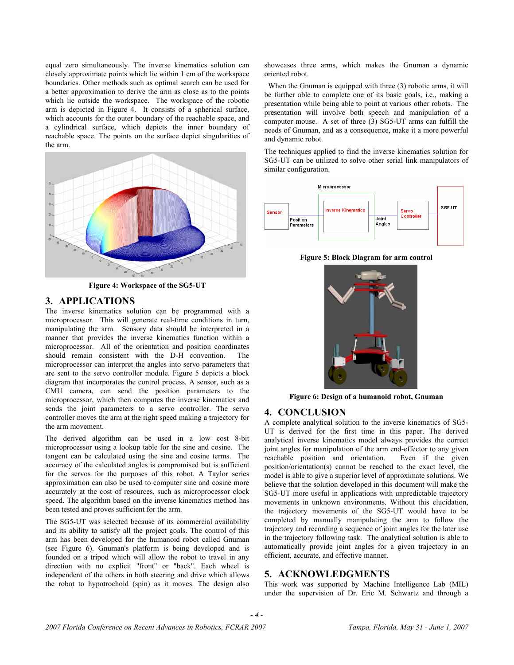equal zero simultaneously. The inverse kinematics solution can closely approximate points which lie within 1 cm of the workspace boundaries. Other methods such as optimal search can be used for a better approximation to derive the arm as close as to the points which lie outside the workspace. The workspace of the robotic arm is depicted in Figure 4. It consists of a spherical surface, which accounts for the outer boundary of the reachable space, and a cylindrical surface, which depicts the inner boundary of reachable space. The points on the surface depict singularities of the arm.



**Figure 4: Workspace of the SG5-UT** 

## **3. APPLICATIONS**

The inverse kinematics solution can be programmed with a microprocessor. This will generate real-time conditions in turn, manipulating the arm. Sensory data should be interpreted in a manner that provides the inverse kinematics function within a microprocessor. All of the orientation and position coordinates should remain consistent with the D-H convention. The microprocessor can interpret the angles into servo parameters that are sent to the servo controller module. Figure 5 depicts a block diagram that incorporates the control process. A sensor, such as a CMU camera, can send the position parameters to the microprocessor, which then computes the inverse kinematics and sends the joint parameters to a servo controller. The servo controller moves the arm at the right speed making a trajectory for the arm movement.

The derived algorithm can be used in a low cost 8-bit microprocessor using a lookup table for the sine and cosine. The tangent can be calculated using the sine and cosine terms. The accuracy of the calculated angles is compromised but is sufficient for the servos for the purposes of this robot. A Taylor series approximation can also be used to computer sine and cosine more accurately at the cost of resources, such as microprocessor clock speed. The algorithm based on the inverse kinematics method has been tested and proves sufficient for the arm.

The SG5-UT was selected because of its commercial availability and its ability to satisfy all the project goals. The control of this arm has been developed for the humanoid robot called Gnuman (see Figure 6). Gnuman's platform is being developed and is founded on a tripod which will allow the robot to travel in any direction with no explicit "front" or "back". Each wheel is independent of the others in both steering and drive which allows the robot to hypotrochoid (spin) as it moves. The design also showcases three arms, which makes the Gnuman a dynamic oriented robot.

 When the Gnuman is equipped with three (3) robotic arms, it will be further able to complete one of its basic goals, i.e., making a presentation while being able to point at various other robots. The presentation will involve both speech and manipulation of a computer mouse. A set of three (3) SG5-UT arms can fulfill the needs of Gnuman, and as a consequence, make it a more powerful and dynamic robot.

The techniques applied to find the inverse kinematics solution for SG5-UT can be utilized to solve other serial link manipulators of similar configuration.



**Figure 5: Block Diagram for arm control** 



**Figure 6: Design of a humanoid robot, Gnuman** 

#### **4. CONCLUSION**

A complete analytical solution to the inverse kinematics of SG5- UT is derived for the first time in this paper. The derived analytical inverse kinematics model always provides the correct joint angles for manipulation of the arm end-effector to any given<br>reachable position and orientation. Even if the given reachable position and orientation. position/orientation(s) cannot be reached to the exact level, the model is able to give a superior level of approximate solutions. We believe that the solution developed in this document will make the SG5-UT more useful in applications with unpredictable trajectory movements in unknown environments. Without this elucidation, the trajectory movements of the SG5-UT would have to be completed by manually manipulating the arm to follow the trajectory and recording a sequence of joint angles for the later use in the trajectory following task. The analytical solution is able to automatically provide joint angles for a given trajectory in an efficient, accurate, and effective manner.

#### **5. ACKNOWLEDGMENTS**

*- 4 -* 

This work was supported by Machine Intelligence Lab (MIL) under the supervision of Dr. Eric M. Schwartz and through a